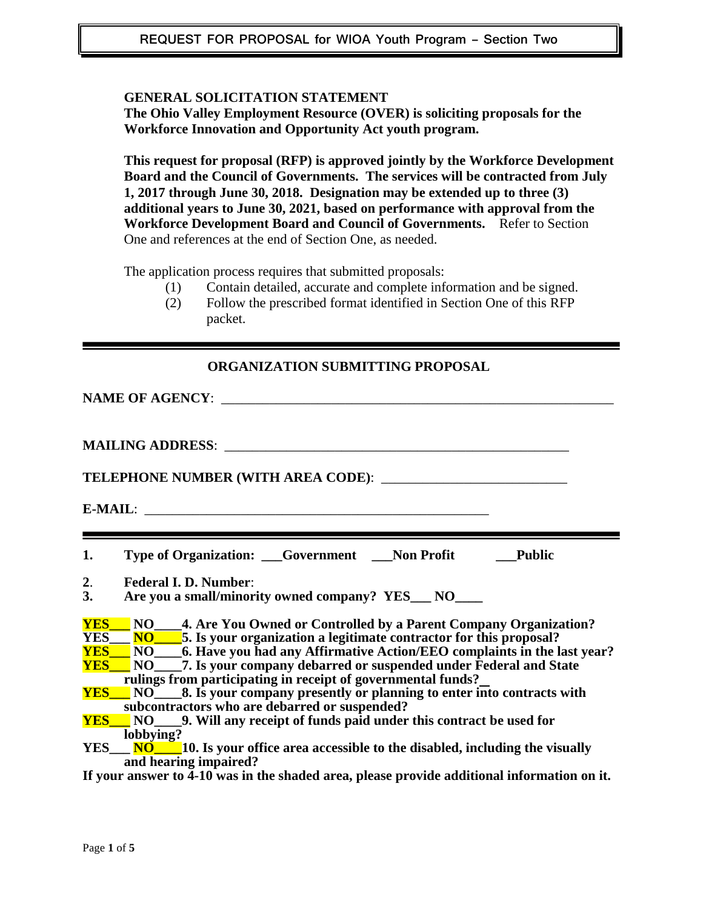#### **GENERAL SOLICITATION STATEMENT**

**The Ohio Valley Employment Resource (OVER) is soliciting proposals for the Workforce Innovation and Opportunity Act youth program.** 

**This request for proposal (RFP) is approved jointly by the Workforce Development Board and the Council of Governments. The services will be contracted from July 1, 2017 through June 30, 2018. Designation may be extended up to three (3) additional years to June 30, 2021, based on performance with approval from the Workforce Development Board and Council of Governments.** Refer to Section One and references at the end of Section One, as needed.

The application process requires that submitted proposals:

- (1) Contain detailed, accurate and complete information and be signed.
- (2) Follow the prescribed format identified in Section One of this RFP packet.

| <b>ORGANIZATION SUBMITTING PROPOSAL</b>                                                                                                                                                                                                           |  |  |  |
|---------------------------------------------------------------------------------------------------------------------------------------------------------------------------------------------------------------------------------------------------|--|--|--|
|                                                                                                                                                                                                                                                   |  |  |  |
|                                                                                                                                                                                                                                                   |  |  |  |
|                                                                                                                                                                                                                                                   |  |  |  |
|                                                                                                                                                                                                                                                   |  |  |  |
|                                                                                                                                                                                                                                                   |  |  |  |
|                                                                                                                                                                                                                                                   |  |  |  |
| Type of Organization: Covernment Non Profit<br><b>Public</b><br>1.                                                                                                                                                                                |  |  |  |
| <b>Federal I. D. Number:</b><br>2.                                                                                                                                                                                                                |  |  |  |
| 3.<br>Are you a small/minority owned company? YES___ NO____                                                                                                                                                                                       |  |  |  |
| <b>YES</b> NO 4. Are You Owned or Controlled by a Parent Company Organization?<br><u>YES NO 5</u> . Is your organization a legitimate contractor for this proposal?<br><u>YES NO</u> 6. Have you had any Affirmative Action/EEO complaints in the |  |  |  |
|                                                                                                                                                                                                                                                   |  |  |  |
|                                                                                                                                                                                                                                                   |  |  |  |
| <b>YES</b> NO 7. Is your company debarred or suspended under Federal and State                                                                                                                                                                    |  |  |  |
| rulings from participating in receipt of governmental funds?                                                                                                                                                                                      |  |  |  |
| <b>YES</b> NO 8. Is your company presently or planning to enter into contracts with<br>subcontractors who are debarred or suspended?                                                                                                              |  |  |  |
| <b><u>YES</u></b> NO 9. Will any receipt of funds paid under this contract be used for                                                                                                                                                            |  |  |  |
| lobbying?                                                                                                                                                                                                                                         |  |  |  |
| YES___ NO 10. Is your office area accessible to the disabled, including the visually                                                                                                                                                              |  |  |  |
| and hearing impaired?                                                                                                                                                                                                                             |  |  |  |
| If your answer to 4-10 was in the shaded area, please provide additional information on it.                                                                                                                                                       |  |  |  |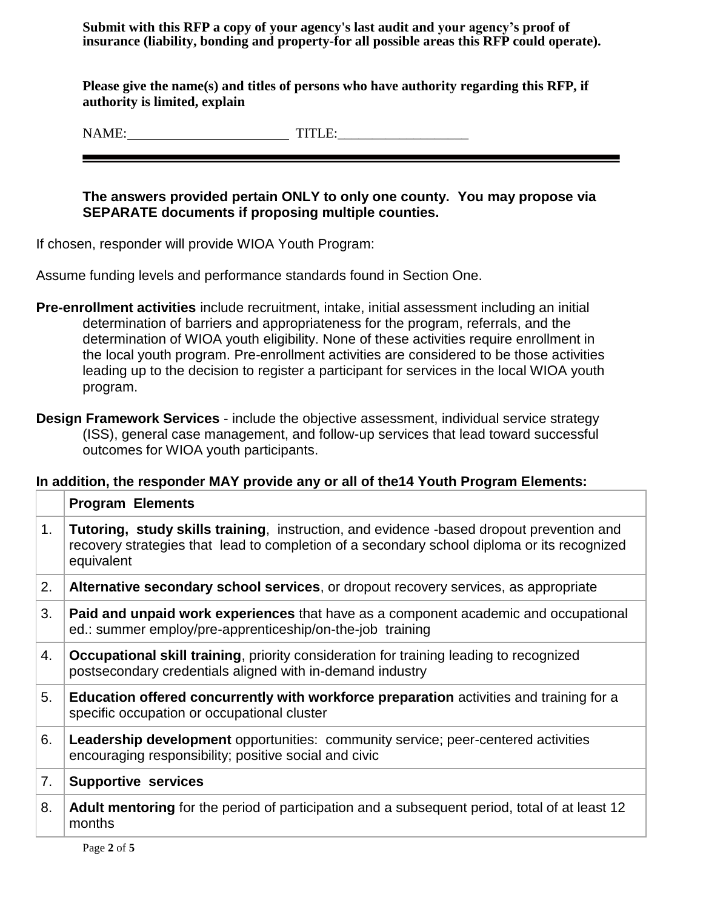**Submit with this RFP a copy of your agency's last audit and your agency's proof of insurance (liability, bonding and property-for all possible areas this RFP could operate).**

**Please give the name(s) and titles of persons who have authority regarding this RFP, if authority is limited, explain** 

NAME: TITLE:\_\_\_\_\_\_\_\_\_\_\_\_\_\_\_\_\_\_\_

## **The answers provided pertain ONLY to only one county. You may propose via SEPARATE documents if proposing multiple counties.**

If chosen, responder will provide WIOA Youth Program:

Assume funding levels and performance standards found in Section One.

- **Pre-enrollment activities** include recruitment, intake, initial assessment including an initial determination of barriers and appropriateness for the program, referrals, and the determination of WIOA youth eligibility. None of these activities require enrollment in the local youth program. Pre-enrollment activities are considered to be those activities leading up to the decision to register a participant for services in the local WIOA youth program.
- **Design Framework Services** include the objective assessment, individual service strategy (ISS), general case management, and follow-up services that lead toward successful outcomes for WIOA youth participants.

## **In addition, the responder MAY provide any or all of the14 Youth Program Elements:**

|                | <b>Program Elements</b>                                                                                                                                                                               |
|----------------|-------------------------------------------------------------------------------------------------------------------------------------------------------------------------------------------------------|
| 1 <sub>1</sub> | Tutoring, study skills training, instruction, and evidence -based dropout prevention and<br>recovery strategies that lead to completion of a secondary school diploma or its recognized<br>equivalent |
| 2.             | Alternative secondary school services, or dropout recovery services, as appropriate                                                                                                                   |
| 3.             | <b>Paid and unpaid work experiences</b> that have as a component academic and occupational<br>ed.: summer employ/pre-apprenticeship/on-the-job training                                               |
| 4.             | <b>Occupational skill training, priority consideration for training leading to recognized</b><br>postsecondary credentials aligned with in-demand industry                                            |
| 5.             | Education offered concurrently with workforce preparation activities and training for a<br>specific occupation or occupational cluster                                                                |
| 6.             | <b>Leadership development</b> opportunities: community service; peer-centered activities<br>encouraging responsibility; positive social and civic                                                     |
| 7.             | <b>Supportive services</b>                                                                                                                                                                            |
| 8.             | <b>Adult mentoring</b> for the period of participation and a subsequent period, total of at least 12<br>months                                                                                        |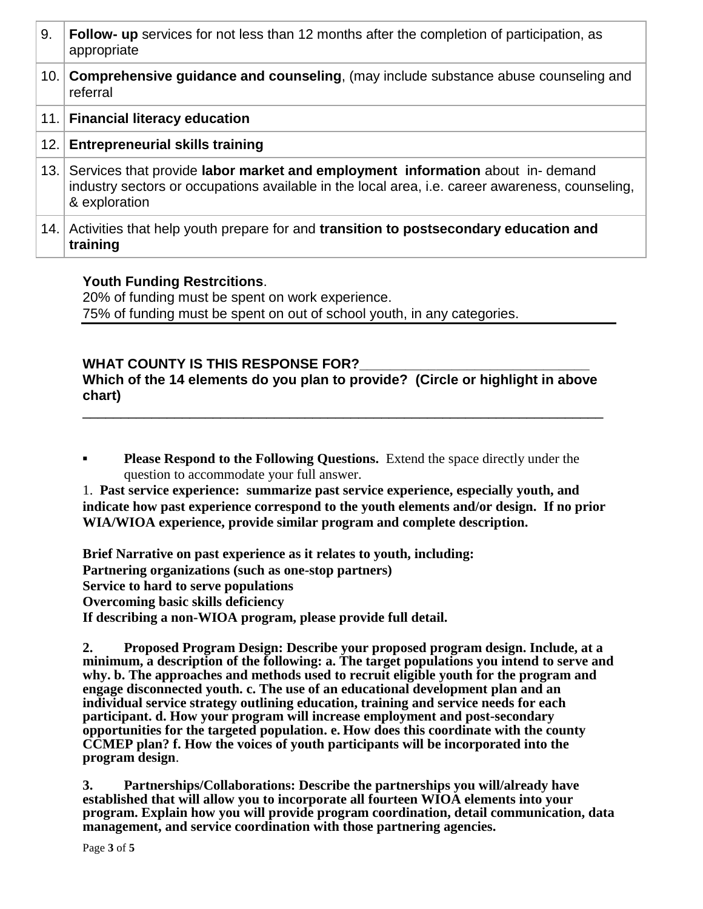| 9.   | <b>Follow- up</b> services for not less than 12 months after the completion of participation, as<br>appropriate                                                                                    |
|------|----------------------------------------------------------------------------------------------------------------------------------------------------------------------------------------------------|
| 10.1 | <b>Comprehensive guidance and counseling, (may include substance abuse counseling and</b><br>referral                                                                                              |
|      | 11. Financial literacy education                                                                                                                                                                   |
|      | 12. Entrepreneurial skills training                                                                                                                                                                |
| 13.1 | Services that provide labor market and employment information about in- demand<br>industry sectors or occupations available in the local area, i.e. career awareness, counseling,<br>& exploration |
| 14.1 | Activities that help youth prepare for and <b>transition to postsecondary education and</b><br>training                                                                                            |

## **Youth Funding Restrcitions**.

20% of funding must be spent on work experience. 75% of funding must be spent on out of school youth, in any categories.

# WHAT COUNTY IS THIS RESPONSE FOR?

**Which of the 14 elements do you plan to provide? (Circle or highlight in above chart)**

\_\_\_\_\_\_\_\_\_\_\_\_\_\_\_\_\_\_\_\_\_\_\_\_\_\_\_\_\_\_\_\_\_\_\_\_\_\_\_\_\_\_\_\_\_\_\_\_\_\_\_\_\_\_\_\_\_\_\_\_\_\_\_\_\_\_\_\_

**Please Respond to the Following Questions.** Extend the space directly under the question to accommodate your full answer.

1. **Past service experience: summarize past service experience, especially youth, and indicate how past experience correspond to the youth elements and/or design. If no prior WIA/WIOA experience, provide similar program and complete description.**

**Brief Narrative on past experience as it relates to youth, including: Partnering organizations (such as one-stop partners) Service to hard to serve populations Overcoming basic skills deficiency If describing a non-WIOA program, please provide full detail.**

**2. Proposed Program Design: Describe your proposed program design. Include, at a minimum, a description of the following: a. The target populations you intend to serve and why. b. The approaches and methods used to recruit eligible youth for the program and engage disconnected youth. c. The use of an educational development plan and an individual service strategy outlining education, training and service needs for each participant. d. How your program will increase employment and post-secondary opportunities for the targeted population. e. How does this coordinate with the county CCMEP plan? f. How the voices of youth participants will be incorporated into the program design**.

**3. Partnerships/Collaborations: Describe the partnerships you will/already have established that will allow you to incorporate all fourteen WIOA elements into your program. Explain how you will provide program coordination, detail communication, data management, and service coordination with those partnering agencies.**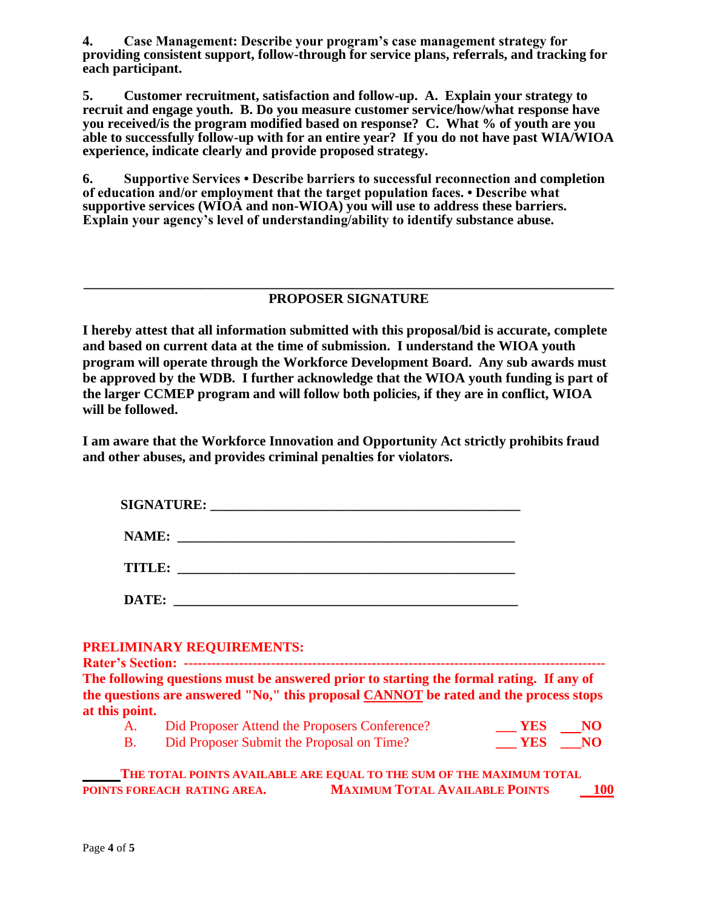**4. Case Management: Describe your program's case management strategy for providing consistent support, follow-through for service plans, referrals, and tracking for each participant.**

**5. Customer recruitment, satisfaction and follow-up. A. Explain your strategy to recruit and engage youth. B. Do you measure customer service/how/what response have you received/is the program modified based on response? C. What % of youth are you able to successfully follow-up with for an entire year? If you do not have past WIA/WIOA experience, indicate clearly and provide proposed strategy.**

**6. Supportive Services • Describe barriers to successful reconnection and completion of education and/or employment that the target population faces. • Describe what supportive services (WIOA and non-WIOA) you will use to address these barriers. Explain your agency's level of understanding/ability to identify substance abuse.** 

#### **\_\_\_\_\_\_\_\_\_\_\_\_\_\_\_\_\_\_\_\_\_\_\_\_\_\_\_\_\_\_\_\_\_\_\_\_\_\_\_\_\_\_\_\_\_\_\_\_\_\_\_\_\_\_\_\_\_\_\_\_\_\_\_\_\_\_\_\_\_\_\_\_\_\_\_\_\_ PROPOSER SIGNATURE**

**I hereby attest that all information submitted with this proposal/bid is accurate, complete and based on current data at the time of submission. I understand the WIOA youth program will operate through the Workforce Development Board. Any sub awards must be approved by the WDB. I further acknowledge that the WIOA youth funding is part of the larger CCMEP program and will follow both policies, if they are in conflict, WIOA will be followed.**

**I am aware that the Workforce Innovation and Opportunity Act strictly prohibits fraud and other abuses, and provides criminal penalties for violators.** 

| <b>SIGNATURE:</b> |  |
|-------------------|--|
| NAME:             |  |
| TITLE:            |  |
| DATE:             |  |

#### **PRELIMINARY REQUIREMENTS:**

**Rater's Section: -----------The following questions must be answered prior to starting the formal rating. If any of the questions are answered "No," this proposal CANNOT be rated and the process stops at this point.**

| A. | Did Proposer Attend the Proposers Conference? | YES NO |
|----|-----------------------------------------------|--------|
|    | Did Proposer Submit the Proposal on Time?     | YES NO |

|                             | THE TOTAL POINTS AVAILABLE ARE EQUAL TO THE SUM OF THE MAXIMUM TOTAL |            |
|-----------------------------|----------------------------------------------------------------------|------------|
| POINTS FOREACH RATING AREA. | <b>MAXIMUM TOTAL AVAILABLE POINTS</b>                                | <b>100</b> |